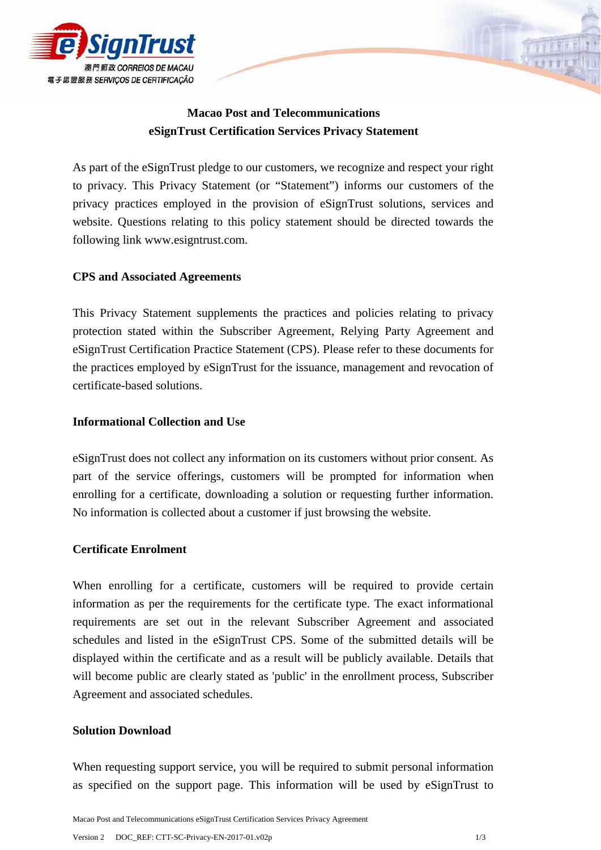

# **Macao Post and Telecommunications eSignTrust Certification Services Privacy Statement**

As part of the eSignTrust pledge to our customers, we recognize and respect your right to privacy. This Privacy Statement (or "Statement") informs our customers of the privacy practices employed in the provision of eSignTrust solutions, services and website. Questions relating to this policy statement should be directed towards the following link www.esigntrust.com.

# **CPS and Associated Agreements**

This Privacy Statement supplements the practices and policies relating to privacy protection stated within the Subscriber Agreement, Relying Party Agreement and eSignTrust Certification Practice Statement (CPS). Please refer to these documents for the practices employed by eSignTrust for the issuance, management and revocation of certificate-based solutions.

# **Informational Collection and Use**

eSignTrust does not collect any information on its customers without prior consent. As part of the service offerings, customers will be prompted for information when enrolling for a certificate, downloading a solution or requesting further information. No information is collected about a customer if just browsing the website.

# **Certificate Enrolment**

When enrolling for a certificate, customers will be required to provide certain information as per the requirements for the certificate type. The exact informational requirements are set out in the relevant Subscriber Agreement and associated schedules and listed in the eSignTrust CPS. Some of the submitted details will be displayed within the certificate and as a result will be publicly available. Details that will become public are clearly stated as 'public' in the enrollment process, Subscriber Agreement and associated schedules.

## **Solution Download**

When requesting support service, you will be required to submit personal information as specified on the support page. This information will be used by eSignTrust to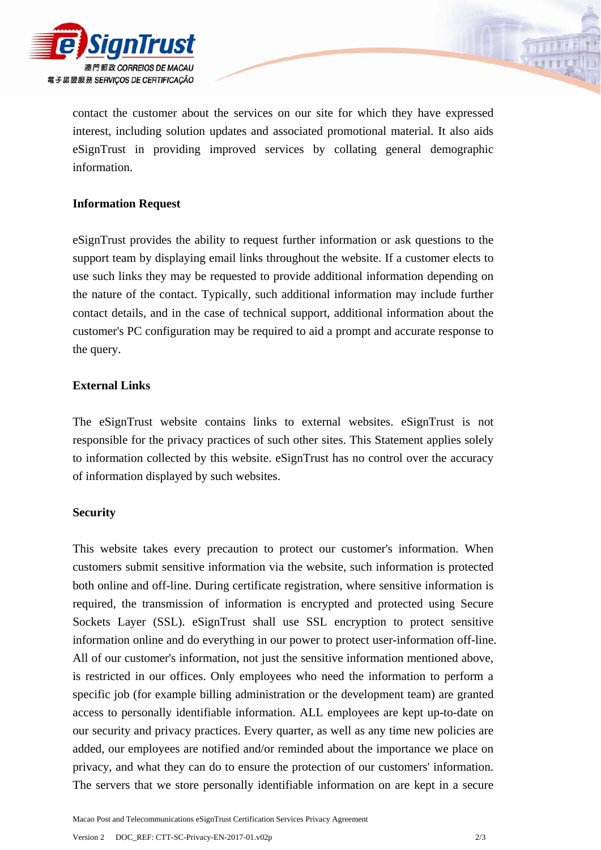

contact the customer about the services on our site for which they have expressed interest, including solution updates and associated promotional material. It also aids eSignTrust in providing improved services by collating general demographic information.

# **Information Request**

eSignTrust provides the ability to request further information or ask questions to the support team by displaying email links throughout the website. If a customer elects to use such links they may be requested to provide additional information depending on the nature of the contact. Typically, such additional information may include further contact details, and in the case of technical support, additional information about the customer's PC configuration may be required to aid a prompt and accurate response to the query.

## **External Links**

The eSignTrust website contains links to external websites. eSignTrust is not responsible for the privacy practices of such other sites. This Statement applies solely to information collected by this website. eSignTrust has no control over the accuracy of information displayed by such websites.

## **Security**

This website takes every precaution to protect our customer's information. When customers submit sensitive information via the website, such information is protected both online and off-line. During certificate registration, where sensitive information is required, the transmission of information is encrypted and protected using Secure Sockets Layer (SSL). eSignTrust shall use SSL encryption to protect sensitive information online and do everything in our power to protect user-information off-line. All of our customer's information, not just the sensitive information mentioned above, is restricted in our offices. Only employees who need the information to perform a specific job (for example billing administration or the development team) are granted access to personally identifiable information. ALL employees are kept up-to-date on our security and privacy practices. Every quarter, as well as any time new policies are added, our employees are notified and/or reminded about the importance we place on privacy, and what they can do to ensure the protection of our customers' information. The servers that we store personally identifiable information on are kept in a secure